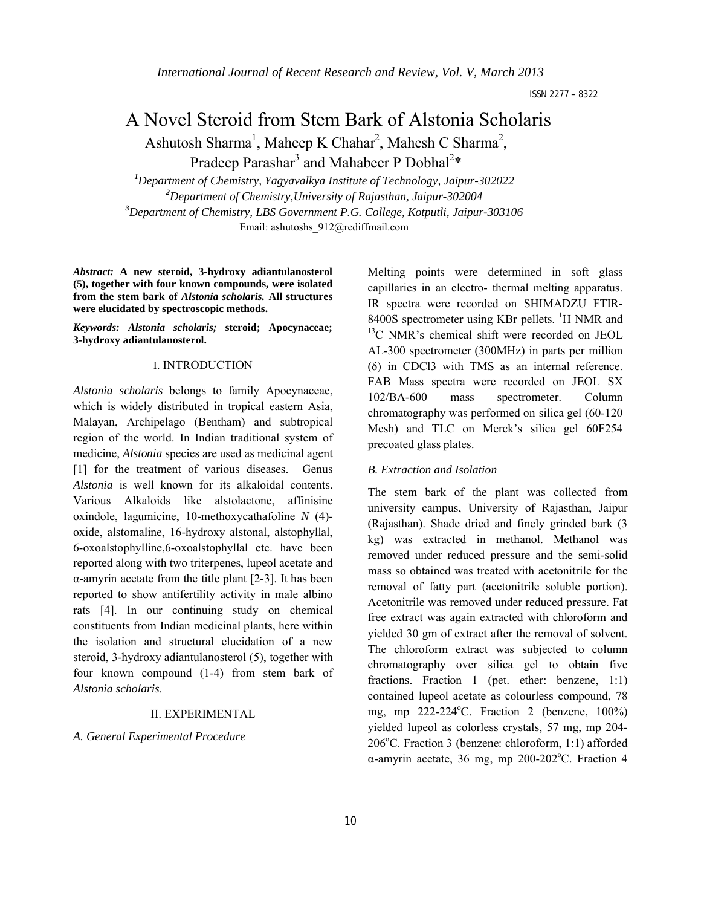# A Novel Steroid from Stem Bark of Alstonia Scholaris Ashutosh Sharma<sup>1</sup>, Maheep K Chahar<sup>2</sup>, Mahesh C Sharma<sup>2</sup>,

Pradeep Parashar<sup>3</sup> and Mahabeer P Dobhal<sup>2\*</sup>

 *Department of Chemistry, Yagyavalkya Institute of Technology, Jaipur-302022 Department of Chemistry,University of Rajasthan, Jaipur-302004 Department of Chemistry, LBS Government P.G. College, Kotputli, Jaipur-303106* Email: ashutoshs\_912@rediffmail.com

*Abstract:* **A new steroid, 3-hydroxy adiantulanosterol (5), together with four known compounds, were isolated from the stem bark of** *Alstonia scholaris.* **All structures were elucidated by spectroscopic methods.**

*Keywords: Alstonia scholaris;* **steroid; Apocynaceae; 3-hydroxy adiantulanosterol.**

# I. INTRODUCTION

*Alstonia scholaris* belongs to family Apocynaceae, which is widely distributed in tropical eastern Asia, Malayan, Archipelago (Bentham) and subtropical region of the world. In Indian traditional system of medicine, *Alstonia* species are used as medicinal agent [1] for the treatment of various diseases. Genus *Alstonia* is well known for its alkaloidal contents. Various Alkaloids like alstolactone, affinisine oxindole, lagumicine, 10-methoxycathafoline *N* (4) oxide, alstomaline, 16-hydroxy alstonal, alstophyllal, 6-oxoalstophylline,6-oxoalstophyllal etc. have been reported along with two triterpenes, lupeol acetate and α-amyrin acetate from the title plant [2-3]. It has been reported to show antifertility activity in male albino rats [4]. In our continuing study on chemical constituents from Indian medicinal plants, here within the isolation and structural elucidation of a new steroid, 3-hydroxy adiantulanosterol (5), together with four known compound (1-4) from stem bark of *Alstonia scholaris*.

## II. EXPERIMENTAL

# *A. General Experimental Procedure*

Melting points were determined in soft glass capillaries in an electro- thermal melting apparatus. IR spectra were recorded on SHIMADZU FTIR-8400S spectrometer using KBr pellets. <sup>1</sup>H NMR and <sup>13</sup>C NMR's chemical shift were recorded on JEOL AL-300 spectrometer (300MHz) in parts per million (δ) in CDCl3 with TMS as an internal reference. FAB Mass spectra were recorded on JEOL SX 102/BA-600 mass spectrometer. Column chromatography was performed on silica gel (60-120 Mesh) and TLC on Merck's silica gel 60F254 precoated glass plates.

#### *B. Extraction and Isolation*

The stem bark of the plant was collected from university campus, University of Rajasthan, Jaipur (Rajasthan). Shade dried and finely grinded bark (3 kg) was extracted in methanol. Methanol was removed under reduced pressure and the semi-solid mass so obtained was treated with acetonitrile for the removal of fatty part (acetonitrile soluble portion). Acetonitrile was removed under reduced pressure. Fat free extract was again extracted with chloroform and yielded 30 gm of extract after the removal of solvent. The chloroform extract was subjected to column chromatography over silica gel to obtain five fractions. Fraction 1 (pet. ether: benzene, 1:1) contained lupeol acetate as colourless compound, 78 mg, mp  $222-224$ °C. Fraction 2 (benzene,  $100\%$ ) yielded lupeol as colorless crystals, 57 mg, mp 204- 206°C. Fraction 3 (benzene: chloroform, 1:1) afforded α-amyrin acetate, 36 mg, mp 200-202°C. Fraction 4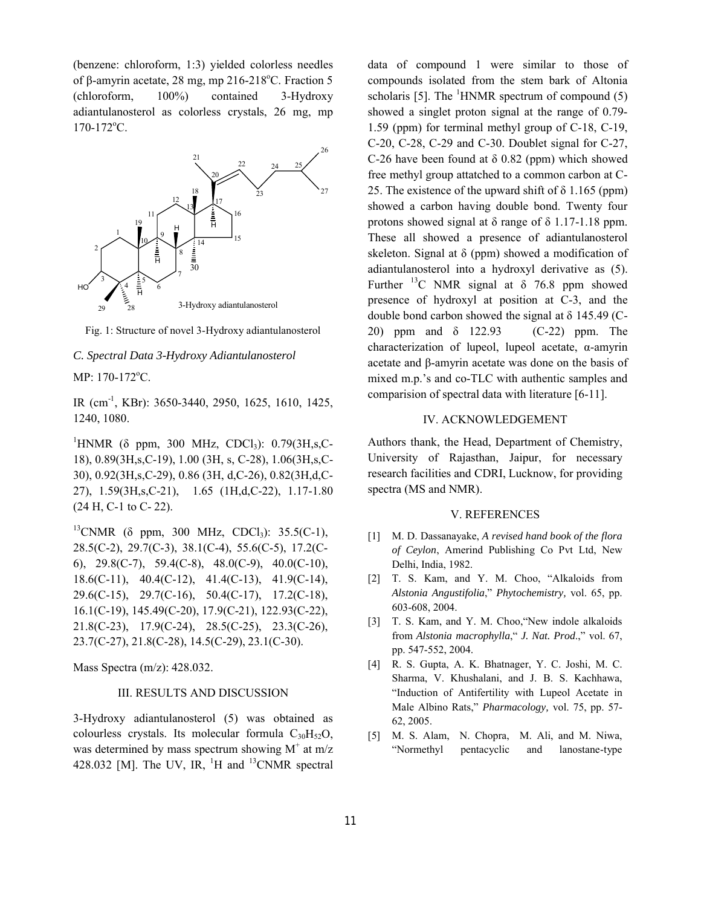(benzene: chloroform, 1:3) yielded colorless needles of  $\beta$ -amyrin acetate, 28 mg, mp 216-218°C. Fraction 5 (chloroform, 100%) contained 3-Hydroxy adiantulanosterol as colorless crystals, 26 mg, mp 170-172°C.



Fig. 1: Structure of novel 3-Hydroxy adiantulanosterol

#### *C. Spectral Data 3-Hydroxy Adiantulanosterol*

MP: 170-172°C.

IR (cm-1, KBr): 3650-3440, 2950, 1625, 1610, 1425, 1240, 1080.

<sup>1</sup>HNMR (δ ppm, 300 MHz, CDCl<sub>3</sub>): 0.79(3H,s,C-18), 0.89(3H,s,C-19), 1.00 (3H, s, C-28), 1.06(3H,s,C-30), 0.92(3H,s,C-29), 0.86 (3H, d,C-26), 0.82(3H,d,C-27), 1.59(3H,s,C-21), 1.65 (1H,d,C-22), 1.17-1.80 (24 H, C-1 to C- 22).

 $^{13}$ CNMR ( $\delta$  ppm, 300 MHz, CDCl<sub>3</sub>): 35.5(C-1), 28.5(C-2), 29.7(C-3), 38.1(C-4), 55.6(C-5), 17.2(C-6), 29.8(C-7), 59.4(C-8), 48.0(C-9), 40.0(C-10), 18.6(C-11), 40.4(C-12), 41.4(C-13), 41.9(C-14), 29.6(C-15), 29.7(C-16), 50.4(C-17), 17.2(C-18), 16.1(C-19), 145.49(C-20), 17.9(C-21), 122.93(C-22), 21.8(C-23), 17.9(C-24), 28.5(C-25), 23.3(C-26), 23.7(C-27), 21.8(C-28), 14.5(C-29), 23.1(C-30).

Mass Spectra (m/z): 428.032.

# III. RESULTS AND DISCUSSION

3-Hydroxy adiantulanosterol (5) was obtained as colourless crystals. Its molecular formula  $C_{30}H_{52}O$ , was determined by mass spectrum showing  $M^+$  at m/z 428.032 [M]. The UV, IR, <sup>1</sup>H and <sup>13</sup>CNMR spectral data of compound 1 were similar to those of compounds isolated from the stem bark of Altonia scholaris [5]. The  ${}^{1}$ HNMR spectrum of compound (5) showed a singlet proton signal at the range of 0.79- 1.59 (ppm) for terminal methyl group of C-18, C-19, C-20, C-28, C-29 and C-30. Doublet signal for C-27, C-26 have been found at  $\delta$  0.82 (ppm) which showed free methyl group attatched to a common carbon at C-25. The existence of the upward shift of  $\delta$  1.165 (ppm) showed a carbon having double bond. Twenty four protons showed signal at δ range of δ 1.17-1.18 ppm. These all showed a presence of adiantulanosterol skeleton. Signal at  $\delta$  (ppm) showed a modification of adiantulanosterol into a hydroxyl derivative as (5). Further <sup>13</sup>C NMR signal at  $\delta$  76.8 ppm showed presence of hydroxyl at position at C-3, and the double bond carbon showed the signal at  $\delta$  145.49 (C-20) ppm and δ 122.93 (C-22) ppm. The characterization of lupeol, lupeol acetate, α-amyrin acetate and β-amyrin acetate was done on the basis of mixed m.p.'s and co-TLC with authentic samples and comparision of spectral data with literature [6-11].

# IV. ACKNOWLEDGEMENT

Authors thank, the Head, Department of Chemistry, University of Rajasthan, Jaipur, for necessary research facilities and CDRI, Lucknow, for providing spectra (MS and NMR).

## V. REFERENCES

- [1] M. D. Dassanayake, *A revised hand book of the flora of Ceylon*, Amerind Publishing Co Pvt Ltd, New Delhi, India, 1982.
- [2] T. S. Kam, and Y. M. Choo, "Alkaloids from *Alstonia Angustifolia*," *Phytochemistry,* vol. 65, pp. 603-608, 2004.
- [3] T. S. Kam, and Y. M. Choo,"New indole alkaloids from *Alstonia macrophylla*," *J. Nat. Prod*.," vol. 67, pp. 547-552, 2004.
- [4] R. S. Gupta, A. K. Bhatnager, Y. C. Joshi, M. C. Sharma, V. Khushalani, and J. B. S. Kachhawa, "Induction of Antifertility with Lupeol Acetate in Male Albino Rats," *Pharmacology,* vol. 75, pp. 57- 62, 2005.
- [5] M. S. Alam, N. Chopra, M. Ali, and M. Niwa, "Normethyl pentacyclic and lanostane-type